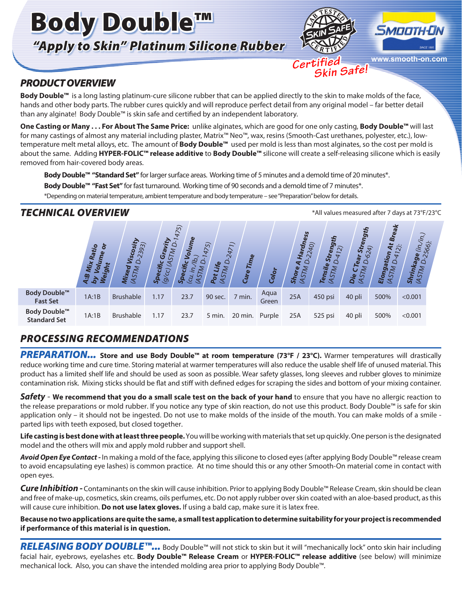# Body Double™ *"Apply to Skin" Platinum Silicone Rubber*



 *Certified*



**www.smooth-on.com**  *Skin Safe!*

# *PRODUCT OVERVIEW*

**Body Double™** is a long lasting platinum-cure silicone rubber that can be applied directly to the skin to make molds of the face, hands and other body parts. The rubber cures quickly and will reproduce perfect detail from any original model – far better detail than any alginate! Body Double™ is skin safe and certified by an independent laboratory.

**One Casting or Many . . . For About The Same Price:** unlike alginates, which are good for one only casting, **Body Double™** will last for many castings of almost any material including plaster, Matrix™ Neo™, wax, resins (Smooth-Cast urethanes, polyester, etc.), lowtemperature melt metal alloys, etc. The amount of **Body Double™** used per mold is less than most alginates, so the cost per mold is about the same. Adding **HYPER-FOLIC™ release additive** to **Body Double™** silicone will create a self-releasing silicone which is easily removed from hair-covered body areas.

**Body Double™ "Standard Set"** for larger surface areas. Working time of 5 minutes and a demold time of 20 minutes\*.

**Body Double™ "Fast Set"** for fast turnaround. Working time of 90 seconds and a demold time of 7 minutes\*.

\*Depending on material temperature, ambient temperature and body temperature – see "Preparation" below for details.

# **TECHNICAL OVERVIEW TECHNICAL OVERVIEW** *TECHNICAL* **OVERVIEW**

|                                     | Ratio<br>$\bullet$<br>Mix<br>ight<br>ڥ | $\sim$<br>239<br>isco<br>Mixed<br>(AST <sub>M</sub> | vity<br>Z,<br>Ŀ<br>G<br>$\mathcal{S}$ Pecific<br>$\overline{C}$<br>್ರ | $\overline{5}$<br>42<br>Volume<br>$\mathcal{L}_{\mathcal{C}}$<br>u<br>4<br>ທີ | 475)<br>C<br>ife<br>45<br>Pot | $\overline{\phantom{0}}$<br>247<br>Time<br>Cure | Color         | Iness<br>Hard<br>$\circ$<br>$\overline{\mathbf{r}}$<br>STM<br>Φ<br>Shor<br>₹ | 2240)<br>ల్లా<br>$\widehat{\sim}$<br>ທີ<br>$\circ$<br>Tensile<br>$\mathcal{C}$<br>$\bm{\mathcal{R}}$ | Streng<br>$\overline{24}$<br>ശ<br>œ<br>يع<br>M<br>U<br><u>ي</u> .<br>$\sim$<br>$\blacktriangledown$<br>O | <b>Break</b><br>$\ddot{r}$<br>tion<br>41<br>œ<br>Elon<br>457 | 566):<br>$\vec{\gamma}$<br>క్ష<br>ш<br><b>Shrink</b><br>STM |  |
|-------------------------------------|----------------------------------------|-----------------------------------------------------|-----------------------------------------------------------------------|-------------------------------------------------------------------------------|-------------------------------|-------------------------------------------------|---------------|------------------------------------------------------------------------------|------------------------------------------------------------------------------------------------------|----------------------------------------------------------------------------------------------------------|--------------------------------------------------------------|-------------------------------------------------------------|--|
| Body Double™<br><b>Fast Set</b>     | 1A:1B                                  | <b>Brushable</b>                                    | 1.17                                                                  | 23.7                                                                          | 90 sec.                       | 7 min.                                          | Aqua<br>Green | 25A                                                                          | 450 psi                                                                                              | 40 pli                                                                                                   | 500%                                                         | < 0.001                                                     |  |
| Body Double™<br><b>Standard Set</b> | 1A:1B                                  | <b>Brushable</b>                                    | 1.17                                                                  | 23.7                                                                          | 5 min.                        | 20 min.                                         | Purple        | 25A                                                                          | 525 psi                                                                                              | 40 pli                                                                                                   | 500%                                                         | < 0.001                                                     |  |

# *PROCESSING RECOMMENDATIONS*

PREPARATION... Store and use Body Double™ at room temperature (73°F / 23°C). Warmer temperatures will drastically reduce working time and cure time. Storing material at warmer temperatures will also reduce the usable shelf life of unused material. This product has a limited shelf life and should be used as soon as possible. Wear safety glasses, long sleeves and rubber gloves to minimize contamination risk. Mixing sticks should be flat and stiff with defined edges for scraping the sides and bottom of your mixing container.

*Safety* - **We recommend that you do a small scale test on the back of your hand** to ensure that you have no allergic reaction to the release preparations or mold rubber. If you notice any type of skin reaction, do not use this product. Body Double™ is safe for skin application only – it should not be ingested. Do not use to make molds of the inside of the mouth. You can make molds of a smile parted lips with teeth exposed, but closed together.

**Life casting is best done with at least three people.** You will be working with materials that set up quickly. One person is the designated model and the others will mix and apply mold rubber and support shell.

*Avoid Open Eye Contact -* In making a mold of the face, applying this silicone to closed eyes (after applying Body Double™ release cream to avoid encapsulating eye lashes) is common practice. At no time should this or any other Smooth-On material come in contact with open eyes.

*Cure Inhibition -* Contaminants on the skin will cause inhibition. Prior to applying Body Double™ Release Cream, skin should be clean and free of make-up, cosmetics, skin creams, oils perfumes, etc. Do not apply rubber over skin coated with an aloe-based product, as this will cause cure inhibition. **Do not use latex gloves.** If using a bald cap, make sure it is latex free.

**Because no two applications are quite the same, a small test application to determine suitability for your project is recommended if performance of this material is in question.**

*RELEASING BODY DOUBLE™...* Body Double™ will not stick to skin but it will "mechanically lock" onto skin hair including facial hair, eyebrows, eyelashes etc. **Body Double™ Release Cream** or **HYPER-FOLIC™ release additive** (see below) will minimize mechanical lock. Also, you can shave the intended molding area prior to applying Body Double™.